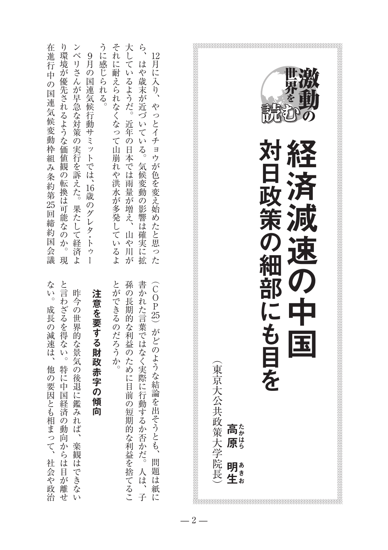| 注意を要する財政赤字の傾向                                                                                           | うに感じられる。<br>9月の国連気候行動サミットでは、16歳のグレタ・トゥー                                                                              |
|---------------------------------------------------------------------------------------------------------|----------------------------------------------------------------------------------------------------------------------|
| とができるのだろうか。<br>孫の長期的な利益のために目前の短期的な利益を捨てるこ<br>書かれた言葉ではなく実際に行動するか否かだ。人は、子<br>(COP25) がどのような結論を出そうとも、問題は紙に | それに耐えられなくなって山崩れや洪水が多発しているよ<br>大しているようだ。近年の日本では雨量が増え、山や川が<br>ら、はや歳末が近づいている。気候変動の影響は確実に拡<br>12月に入り、やっとイチョウが色を変え始めたと思った |
| $\overline{\mathbf{H}}$<br>(東京大公共政策大学院長)<br>高原。<br>明#<br>生#                                             | 対日政策の細部にも目を<br>経済減速の中                                                                                                |

在進行中の国連気候変動枠組み条約第

在

ります きょうしゅう しゅうしゅ あいしゅう しゅうしゅう しゅうしゅう しゅうしゅう しゅうしゅう しゅうしゅう しゅうしゅう しゅうしゅう しゅうしゅう しゅうしゅう またして、このことは、このことは、このことは、このことは、このことは、このことは、このことは、このことは、このことは、このことは、このことは、このことは、このことは、このことは、このことは、このことは

進行中の国連気候変動枠組み条約第25回締約国会議

り環境が優先されるような価値観の転換は可能なのか。現 ンベリさんが早急な対策の実行を訴えた。果たして経済よ

25回締約国会議

ない。成長の減速は、

楽観はできない、昨今の世界的な景気の後退に鑑みれば

昨今の世界的な景気の後退に鑑みれば、楽観はできない

と言わざるを得ない。特に中国経済の動向からは目が離せ

社会や政治、他の要因とも相まって、成長の減速は。ない 中国経済の動向がある。と言わざると、このような場合は、そうないのは、そうないのは、そうないのは、そうないのは、そうないのは、そうないのは、そうないのは、そうないのは、そうないのは、そうないのは、そうな

他の要因とも相まって、社会や政治

 $-2-$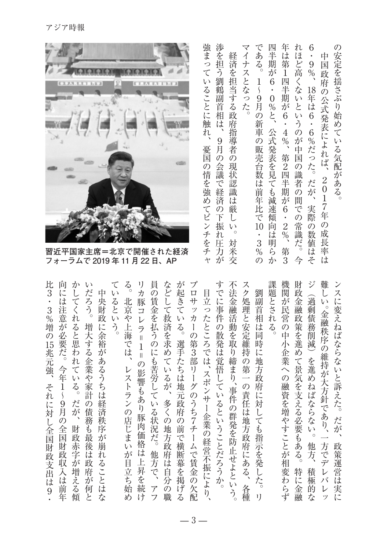|                                                  | 強まって<br>$\overline{\Lambda}$<br>経済を<br>ナ<br>ス                                                                                                                                                       | 年<br>である。<br>μu<br>半<br>は<br>期<br>第<br>が<br>İ                                                                                                                                                                                 | の<br>6<br>lŦ<br>中<br>こど高<br>9<br>国政府<br>$\frac{1}{2}$                                                                                                                                                                                |
|--------------------------------------------------|-----------------------------------------------------------------------------------------------------------------------------------------------------------------------------------------------------|-------------------------------------------------------------------------------------------------------------------------------------------------------------------------------------------------------------------------------|--------------------------------------------------------------------------------------------------------------------------------------------------------------------------------------------------------------------------------------|
|                                                  | 渉を担う劉鶴副首相は、<br>担当する政府指導者<br>とな<br>いることに<br>っ<br>た。<br>触れ<br>9月の<br>憂国の情を強め<br>$\mathcal{O}$<br>会議で経<br>現状認識<br>済<br>は<br>てピ<br>厳<br>の<br>F<br>振れ<br>$\mathcal{V}$<br>L)<br>$\circ$<br>チをチ<br>対<br>圧 | 6<br>四<br>$\frac{1}{\zeta}$<br>半期が<br>9<br>$\boldsymbol{0}$<br>月の新車の販売台数は前年比で10<br>%と、<br>6<br>公式発表を見ても減速傾<br>$\overline{4}$<br>$\frac{6}{3}$<br>第<br>2四半期が<br>6<br>向<br>$\overline{2}$<br>$\%$<br>Ϊİ<br>明ら<br>$\frac{3}{\%}$ | 安定を揺さぶり始めて<br>くな<br>18<br>の公式発表によれ<br>年<br>は6<br>いと<br>いう<br>$\ddot{6}$<br>$\overline{O}$<br>が<br>%だっ<br>いる気配がある。<br>电<br>国<br>ぱ<br>た。<br>1の識者<br>2017年<br>だが<br>$\ddot{\sigma}$<br>間<br>実際<br>での<br>の成<br>常識だ。<br>の<br>数<br>長率<br>値 |
| 習近平国家主席=北京で開催された経済<br>フォーラムで 2019 年 11 月 22 日、AP | 万が<br>米<br>$\rightarrow$<br>交                                                                                                                                                                       | <b>第3</b><br>か<br>の                                                                                                                                                                                                           | Ϊt<br>そ<br>は<br>今                                                                                                                                                                                                                    |
|                                                  |                                                                                                                                                                                                     |                                                                                                                                                                                                                               |                                                                                                                                                                                                                                      |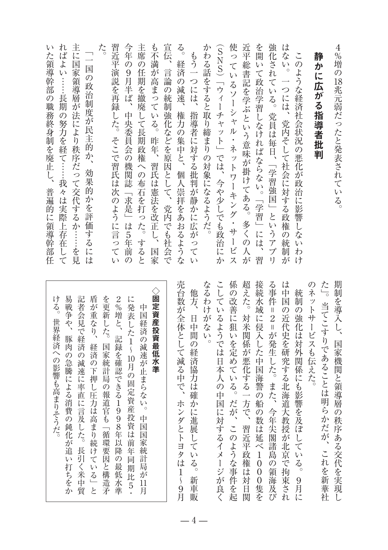| 4%増の18兆元弱だったと発表されている。                                 | 期制を導入し、国家機関と領導層の秩序あ        |
|-------------------------------------------------------|----------------------------|
|                                                       | た」。当てこすりであることは明らかだが        |
| 静<br>かに広がる指導者批判                                       | のネットサービスも伝えた。              |
| このような経済社会状況の悪化が政治に影響しないわけ                             | 統制の強化は対外関係にも影響を及ぼ<br>L     |
| は<br>ない。一つには、党内そして社会に対する政権の統制が                        | は中国<br>の近代史を研究する北海道大教授が    |
| 強化されている。党員は毎日、「学習強国」というアプリ                            | る事件<br>■2=が発生した。また、今年尖閣    |
| を開いて政治学習しなければならない。「学習」には、習                            | 接続水域に侵入した中国海警の船の数は延        |
| 近平総書記を学ぶという意味が掛けてある。多くの人が                             | 超えた。対米関係が悪化する一方で、習近        |
| 使っているソーシャル・ネットワーキング・サービス                              | 係の改善に狙いを定めている。だが、この        |
| (SNS)「ウィーチャット」では、今や少しでも政治にか                           | こしているようでは日本人の中国に対する        |
| かわる話をすると取り締まりの対象になるようだ。                               | なるわけがない。                   |
| もう一つには、<br>指導者に対する批判が静かに広がってい                         | 他方、<br>日中間の経済協力は確かに進展<br>ĩ |
| る。<br>経済の減速、権力の集中と、個人崇拝をあおるような                        | 売台数が全体として減る中で、ホンダとト        |
| 宣伝、言論の統制強化などを原因として、党内でも社会で                            |                            |
| も不満が高まっている。昨年、<br>習氏は憲法を改正し、国家                        | ◇固定資産投資最低水<br>準            |
| 主席の任期を撤廃して長期政権への布石を打った。すると                            | 中国経済の減速が止まらない。<br>中国国      |
| 今年の9月半ば、中央委員会の機関誌「求是」は5年前<br>$\overline{\mathcal{O}}$ | に発表した1~10月の固定資産投資は         |
| 習近平演説を再録した。そこで習氏は次のように言ってい                            | 2%増と、記録を確認できる1998年         |
| た。                                                    | を更新した。国家統計局の報道官も「循         |
| 国の政治制度が民主的か、<br>効果的かを評価するには                           | 盾が重なり、経済の下押し圧力は高まり         |
| 主に国家領導層が法により秩序だって交代するか……を見                            | 記者会見で経済の減速に率直に言及した         |
| ればよい……長期の努力を経て……我々は実際上存在して                            | 易戦争や、豚肉の急騰による消費の鈍化         |
| L)<br>た領導幹部の職務終身制を廃止し、普遍的に領導幹部任                       | ける。世界経済への影響も高まりそうだ。        |

| 易戦争や、 | 盾が重なり、<br>経済の下押し圧力は高まり続<br>$\tilde{t}$<br>ている | を更新<br>した。 | 2%増<br>ξ<br>記録を確認できる1998年以<br>降 | に発表<br>した1~10月の固定資産投資は前<br>年<br>同 | 中国経済の減速が止まらない。 | 準 | 朩<br>ンダとトヨタ<br>ĺΦ<br>$\frac{1}{\zeta}$<br>9                                                                   | $\boxminus$<br>中間の経済協力は確かに進展している<br>$\circ$ | が<br>な<br>L)<br>$\circ$ |                                            | に狙<br>いを定めている。だが | 対 | の数は延べ1<br>$\boldsymbol{0}$<br>$\overline{0}$<br>$\mathbf{0}$ | 2=が発生した。また、<br>今年尖閣諸島<br>$\overline{O}$<br>領 | の近代史を研究する北海道大教授が北京<br>で<br>拘<br>束<br>ざれ                     | の<br>強化は対外関係にも影響を及ぼして<br>$\tilde{\epsilon}$<br>z<br>$\circ$<br>9<br>月 |    | 当てこすりであることは明らかだが、 | {制を導入し、国家機関と領導層の秩序ある交代を実現                                                                         |
|-------|-----------------------------------------------|------------|---------------------------------|-----------------------------------|----------------|---|---------------------------------------------------------------------------------------------------------------|---------------------------------------------|-------------------------|--------------------------------------------|------------------|---|--------------------------------------------------------------|----------------------------------------------|-------------------------------------------------------------|-----------------------------------------------------------------------|----|-------------------|---------------------------------------------------------------------------------------------------|
|       |                                               |            |                                 |                                   |                |   | 記者会見で経済の減速に率直に言及した。長引く米中貿<br>豚肉の急騰による消費の鈍化が追い打ちをか<br>国家統計局の報道官も「循環要因と構造矛<br>中国国家統計局が11月<br>の最低水準<br>期比5<br>ーと |                                             |                         | ◇固定資産投資最低水<br>?台数が全体として減る中で、<br>こるわけ<br>他方 | している             |   |                                                              |                                              | ようでは日本人の中国に対するイメージが良<br>、このような事件を起<br>新車販<br>海及<br>・隻を<br>日 |                                                                       | 統制 | ネットサービスも伝えた。      | :の改善<br>;続水域に侵入した中国海警の船<br>事件=<br>中国<br> えた。対米関係が悪化する一方で、習近平政権は<br>$\frac{1}{\sqrt{2}}$<br>これを新華社 |

 $-4-$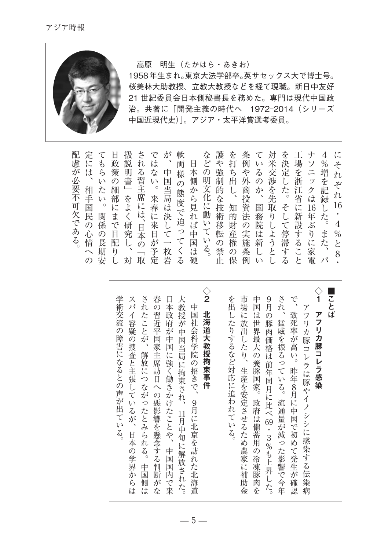

## 高原 明生 (たかはら・あきお)

1958年生まれ。東京大法学部卒。英サセックス大で博士号。 桜美林大助教授、立教大教授などを経て現職。新日中友好 21 世紀委員会日本側秘書長を務めた。専門は現代中国政 治。共著に「開発主義の時代へ 1972-2014 (シリーズ 中国近現代史)」。アジア·太平洋賞選考委員。

| 配<br>慮<br>が<br>必<br>要<br>不<br>可<br>欠<br>で<br>あ<br>$\zeta$                             | 政<br>$\mathcal{O}$<br>細<br>部<br>に<br>で<br>目<br>配<br>$\eta$                              | 扱<br>説<br>明<br>書<br>$\overline{\phantom{0}}$<br>を<br>よ<br>$\left\langle \right\rangle$<br>し<br>対 | さ<br>れ<br>る<br>習<br>主<br>に<br>は、<br>$\mathcal{O}$<br>取 | な<br>定 | 中<br>国<br>枚<br>岩 | 様<br>$\langle$<br>る                | 日<br>本<br>中<br>国<br>は<br>硬        | な<br>ど<br>$\mathcal{O}$<br>化<br>に<br>動<br>L,<br>٨,<br>$\zeta$ | や<br>強<br>制<br>禁 | を<br>打<br>ち<br>出<br>的<br>財<br>$\mathcal{O}$<br>保 | 例<br>や<br>外<br>法<br>$\mathcal{O}$<br>実<br>施<br>条<br>例                                                                                                               | V,<br>る<br>$\mathcal{O}$<br>務<br>院<br>は<br>新<br>し<br>V, | 対<br>米<br>交<br>取<br>L<br>よ<br>う<br>と<br>L | 決<br>そ<br>て<br>停<br>滞<br>す<br>る | 場<br>を<br>浙<br>江<br>省<br>に<br>新<br>設<br>る<br>こ | $\equiv$<br>ツ<br>ク<br>は<br>年<br>ぶ<br>$\eta$<br>に<br>電 | $\%$<br>増<br>を<br>記<br>録<br>し<br>ま<br>た<br>パ | に<br>$\ddot{z}$<br>n<br>ぞ<br>れ<br>-16<br>$\degree$ 4<br>$\%$<br>と |
|---------------------------------------------------------------------------------------|-----------------------------------------------------------------------------------------|--------------------------------------------------------------------------------------------------|--------------------------------------------------------|--------|------------------|------------------------------------|-----------------------------------|---------------------------------------------------------------|------------------|--------------------------------------------------|---------------------------------------------------------------------------------------------------------------------------------------------------------------------|---------------------------------------------------------|-------------------------------------------|---------------------------------|------------------------------------------------|-------------------------------------------------------|----------------------------------------------|-------------------------------------------------------------------|
|                                                                                       | て<br>P<br>$\mathcal{U}$<br>た<br>$\mathcal{U}$<br>関<br>係<br>$\mathcal{O}$<br>長<br>期<br>安 | ら策<br>$\circ$                                                                                    | ま                                                      |        | で<br>席<br>ੇਹਾ    | V).<br>。当局<br>春 は<br><br>がー<br>, 予 | が<br>は 面<br>態度で迫<br>研日来した<br>究本日で | 軟<br>$\overline{O}$<br>ら<br>見<br>ば<br>$\tau$                  | n                | 護<br>側 明<br>か 文<br>$\tau$<br>上上                  | 的し<br>。<br>な技<br><br><br><br><br><br><br><br><br><br><br><br><br><br><br><br><br><br><br><br><br><br><br><br><br><br><br><br><br><br><br><br><br>術<br>移<br>転産<br>の権 |                                                         | 条<br>商投<br>資国                             | て<br>$\eta$                     | 涉 し<br>かをた                                     | を工<br>定<br>L                                          | ナ<br>ソ<br>16<br>す<br>と                       | $4\overline{ }$<br>た<br>家                                         |
| 定<br>は<br>相<br>手<br>国<br>民<br>$\mathcal{O}$<br>心<br>情<br>$\widehat{\phantom{0}}$<br>の |                                                                                         |                                                                                                  |                                                        |        |                  |                                    |                                   |                                                               |                  |                                                  |                                                                                                                                                                     |                                                         |                                           |                                 |                                                |                                                       |                                              |                                                                   |

| $\Diamond$<br>学術交流の障害になるとの声が出ている。<br>されたことが、解放につながったとみられる。中国側は<br>春の習近平国家主席訪日への悪影響を懸念する判断がな<br>大教授が中国当局に拘束され、11月中旬に解放された。<br>スパイ容疑の捜査と主張しているが、日本の学界からは<br>日本政府が中国に強く働きかけたことや、中国国内で来<br>中国社会科学院の招きで、<br>北海道大教授拘束事件<br>9月に北京を訪れた北海道                                                 |
|-----------------------------------------------------------------------------------------------------------------------------------------------------------------------------------------------------------------------------------------------------------------------------------|
| $\begin{array}{c} \Diamond \ \mathbf{1} \end{array}$<br>ことば<br>を出したりするなど対応に追われている。<br>市場に放出したり、生産を安定させるため農家に補助金<br>され、<br>中国は世界最大の養豚国家。政府は備蓄用の冷凍豚肉を<br>9月の豚肉価格は前年同月に比べ69・3%も上昇した。<br>で、致死率が高い。昨年8月に中国で初めて発生が確認<br>アフリカ豚コレラ感染<br>アフリカ豚コレラは豚やイノシシに感染する伝染病<br>猛威を振るっている。流通量が減った影響で今年 |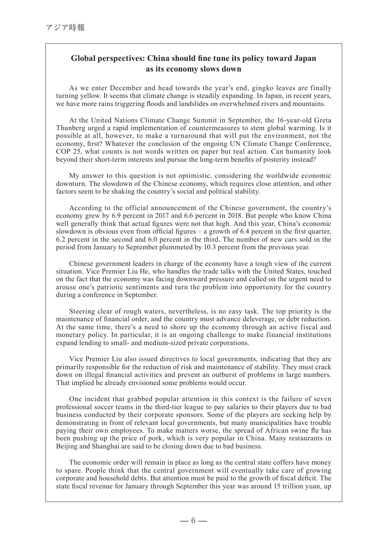## **Global perspectives: China should fine tune its policy toward Japan** as its economy slows down

As we enter December and head towards the year's end, gingko leaves are finally turning vellow. It seems that climate change is steadily expanding. In Japan, in recent years, we have more rains triggering floods and landslides on overwhelmed rivers and mountains.

At the United Nations Climate Change Summit in September, the 16-year-old Greta Thunberg urged a rapid implementation of countermeasures to stem global warming. Is it possible at all, however, to make a turnaround that will put the environment, not the economy, first? Whatever the conclusion of the ongoing UN Climate Change Conference, COP 25, what counts is not words written on paper but real action. Can humanity look bevond their short-term interests and pursue the long-term benefits of posterity instead?

 $My$  answer to this question is not optimistic, considering the worldwide economic downturn. The slowdown of the Chinese economy, which requires close attention, and other factors seem to be shaking the country's social and political stability.

According to the official announcement of the Chinese government, the country's economy grew by  $6.9$  percent in 2017 and  $6.6$  percent in 2018. But people who know China well generally think that actual figures were not that high. And this year, China's economic slowdown is obvious even from official figures – a growth of 6.4 percent in the first quarter,  $6.2$  percent in the second and  $6.0$  percent in the third. The number of new cars sold in the period from January to September plummeted by 10.3 percent from the previous year.

Chinese government leaders in charge of the economy have a tough view of the current situation. Vice Premier Liu He, who handles the trade talks with the United States, touched on the fact that the economy was facing downward pressure and called on the urgent need to arouse one's patriotic sentiments and turn the problem into opportunity for the country during a conference in September.

Steering clear of rough waters, nevertheless, is no easy task. The top priority is the maintenance of financial order, and the country must advance deleverage, or debt reduction. At the same time, there's a need to shore up the economy through an active fiscal and monetary policy. In particular, it is an ongoing challenge to make financial institutions expand lending to small- and medium-sized private corporations.

Vice Premier Liu also issued directives to local governments, indicating that they are primarily responsible for the reduction of risk and maintenance of stability. They must crack down on illegal financial activities and prevent an outburst of problems in large numbers. That implied he already envisioned some problems would occur.

One incident that grabbed popular attention in this context is the failure of seven professional soccer teams in the third-tier league to pay salaries to their players due to bad business conducted by their corporate sponsors. Some of the players are seeking help by demonstrating in front of relevant local governments, but many municipalities have trouble paying their own employees. To make matters worse, the spread of African swine flu has been pushing up the price of pork, which is very popular in China. Many restaurants in Beijing and Shanghai are said to be closing down due to bad business.

The economic order will remain in place as long as the central state coffers have money to spare. People think that the central government will eventually take care of growing corporate and household debts. But attention must be paid to the growth of fiscal deficit. The state fiscal revenue for January through September this year was around 15 trillion yuan, up